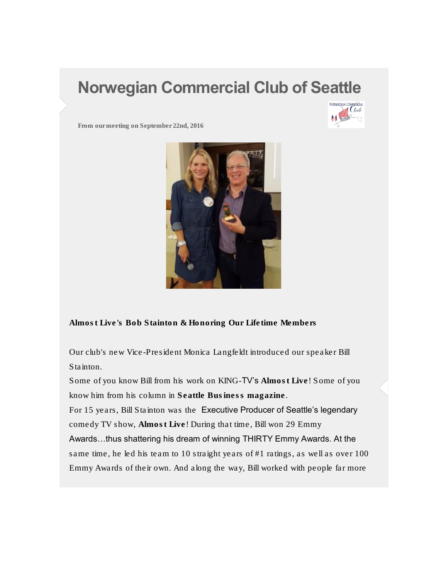## Norwegian Commercial Club of Seattle



From our meeting on September 22nd, 2016



Almost Live's Bob Stainton & Honoring Our Lifetime Members

Our club's new Vice-President Monica Langfeldt introduced our speaker Bill Stainton.

Some of you know Bill from his work on KING-TV's Almost Live! Some of you know him from his column in Seattle Business magazine. For 15 years, Bill Stainton was the Executive Producer of Seattle's legendary comedy TV show, Almost Live! During that time, Bill won 29 Emmy Awards…thus shattering his dream of winning THIRTY Emmy Awards. At the same time, he led his team to 10 straight years of #1 ratings, as well as over 100 Emmy Awards of their own. And along the way, Bill worked with people far more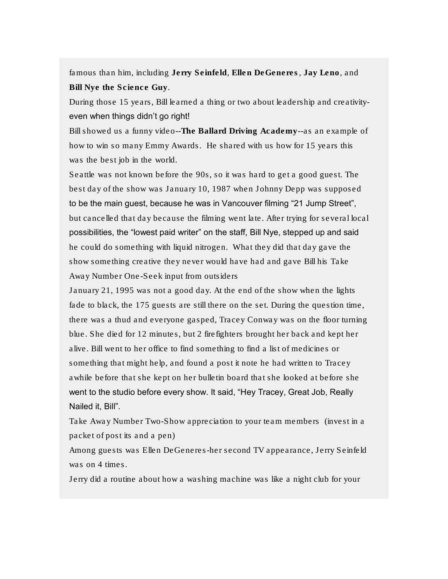famous than him, including Jerry Seinfeld, Ellen DeGeneres, Jay Leno, and Bill Nye the Science Guy.

During those 15 years, Bill learned a thing or two about leadership and creativityeven when things didn't go right!

Bill showed us a funny video--The Ballard Driving Academy--as an example of how to win so many Emmy Awards. He shared with us how for 15 years this was the best job in the world.

Seattle was not known before the 90s, so it was hard to get a good guest. The best day of the show was January 10, 1987 when Johnny Depp was supposed to be the main guest, because he was in Vancouver filming "21 Jump Street", but cancelled that day because the filming went late. After trying for several local possibilities, the "lowest paid writer" on the staff, Bill Nye, stepped up and said he could do something with liquid nitrogen. What they did that day gave the show something creative they never would have had and gave Bill his Take Away Number One-Seek input from outsiders

January 21, 1995 was not a good day. At the end of the show when the lights fade to black, the 175 guests are still there on the set. During the question time, there was a thud and everyone gasped, Tracey Conway was on the floor turning blue. She died for 12 minutes, but 2 firefighters brought her back and kept her alive. Bill went to her office to find something to find a list of medicines or something that might help, and found a post it note he had written to Tracey awhile before that she kept on her bulletin board that she looked at before she went to the studio before every show. It said, "Hey Tracey, Great Job, Really Nailed it, Bill".

Take Away Number Two-Show appreciation to your team members (invest in a packet of post its and a pen)

Among guests was Ellen DeGeneres-her second TV appearance, Jerry Seinfeld was on 4 times.

Jerry did a routine about how a washing machine was like a night club for your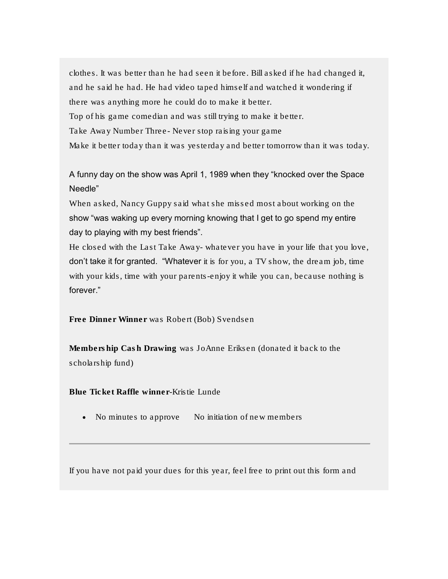clothes. It was better than he had seen it before. Bill asked if he had changed it, and he said he had. He had video taped himself and watched it wondering if there was anything more he could do to make it better. Top of his game comedian and was still trying to make it better. Take Away Number Three- Never stop raising your game Make it better today than it was yesterday and better tomorrow than it was today.

A funny day on the show was April 1, 1989 when they "knocked over the Space Needle"

When asked, Nancy Guppy said what she missed most about working on the show "was waking up every morning knowing that I get to go spend my entire day to playing with my best friends".

He closed with the Last Take Away- whatever you have in your life that you love, don't take it for granted. "Whatever it is for you, a TV show, the dream job, time with your kids, time with your parents-enjoy it while you can, because nothing is forever."

Free Dinner Winner was Robert (Bob) Svendsen

Membership Cash Drawing was JoAnne Eriksen (donated it back to the scholarship fund)

Blue Ticket Raffle winner-Kristie Lunde

• No minutes to approve No initiation of new members

If you have not paid your dues for this year, feel free to print out this form and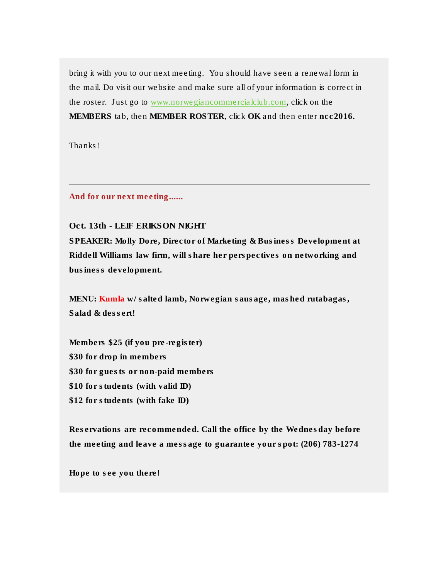bring it with you to our next meeting. You should have seen a renewal form in the mail. Do visit our website and make sure all of your information is correct in the roster. Just go to [www.norwegiancommercialclub.com,](http://www.norwegiancommercialclub.com/) click on the MEMBERS tab, then MEMBER ROSTER, click OK and then enter ncc2016.

Thanks!

And for our next meeting......

## Oct. 13th - LEIF ERIKSON NIGHT

SPEAKER: Molly Dore, Director of Marketing & Business Development at Riddell Williams law firm, will share her perspectives on networking and business development.

MENU: Kumla w/ salted lamb, Norwegian sausage, mashed rutabagas, Salad & dessert!

Members \$25 (if you pre-register) \$30 for drop in members \$30 for guests or non-paid members \$10 for students (with valid ID) \$12 for students (with fake ID)

Reservations are recommended. Call the office by the Wednesday before the meeting and leave a message to guarantee your spot: (206) 783-1274

Hope to see you there!